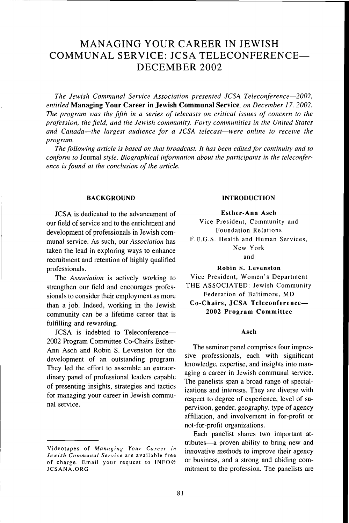# MANAGING YOUR CAREER IN JEWISH COMMUNAL SERVICE: JCSA TELECONEERENCE— DECEMBER 2002

*The Jewish Communal Service Association presented JCSA Teleconference*—*2002, entitled* **Managing Your Career in Jewish Communal Service,** *on December 17, 2002. The program was the fifth in a series of telecasts on critical issues of concern to the profession, the field, and the Jewish community. Forty communities in the United States and Canada*—*the largest audience for a JCSA telecast*—*were online to receive the program.*

*The following article is based on that broadcast. It has been edited for continuity and to conform to* Journal *style. Biographical information about the participants in the teleconference is found at the conclusion of the article.*

# **BACKGROUND**

JCSA is dedicated to the advancement of our field of service and to the enrichment and development of professionals in Jewish communal service. As such, our *Association* has taken the lead in exploring ways to enhance recruitment and retention of highly qualified professionals.

The *Association* is actively working to strengthen our field and encourages professionals to consider their employment as more than a job. Indeed, working in the Jewish community can be a lifetime career that is fulfilling and rewarding.

JCSA is indebted to Teleconference— 2002 Program Committee Co-Chairs Esther-Ann Asch and Robin S. Levenston for the development of an outstanding program. They led the effort to assemble an extraordinary panel of professional leaders capable of presenting insights, strategies and tactics for managing your career in Jewish communal service.

# **INTRODUCTION**

**Esther-Ann Asch** Vice President, Community and Foundation Relations F.E.G.S. Health and Human Services, New York and

**Robin** S. **Levenston**

Vice President, Women's Department THE ASSOCIATED: Jewish Community Federation of Baltimore, MD

**Co-Chairs, JCSA Teleconference— 2002 Program Committee**

# **Asch**

The seminar panel comprises four impressive professionals, each with significant knowledge, expertise, and insights into managing a career in Jewish communal service. The panelists span a broad range of specializations and interests. They are diverse with respect to degree of experience, level of supervision, gender, geography, type of agency affiliation, and involvement in for-profit or not-for-profit organizations.

Each panelist shares two important attributes—a proven ability to bring new and innovative methods to improve their agency or business, and a strong and abiding commitment to the profession. The panelists are

Videotapes of *Managing Your Career in Jewish Communal Service* are available free of charge. Email your request to 1NFO@ JCSANA.ORG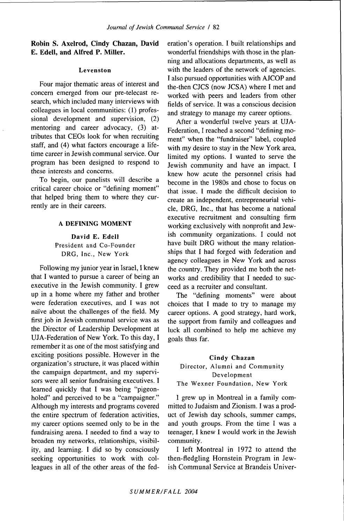# **Robin S. Axelrod,** Cindy Chazan, **David E. Edell, and Alfred P. Miller.**

# Levenston

Four major thematic areas of interest and concern emerged from our pre-telecast research, which included many interviews with colleagues in local communities: (1) professional development and supervision, (2) mentoring and career advocacy, (3) attributes that CEOs look for when recruiting staff, and (4) what factors encourage a lifetime career in Jewish communal service. Our program has been designed to respond to these interests and concerns.

To begin, our panelists will describe a critical career choice or "defining moment" that helped bring them to where they currently are in their careers.

# A DEFINING MOMENT

David E. Edell President and Co-Founder DRG, Inc., New York

Following my junior year in Israel, I knew that I wanted to pursue a career of being an executive in the Jewish community. I grew up in a home where my father and brother were federation executives, and I was not naive about the challenges of the field. My first job in Jewish communal service was as the Director of Leadership Development at UJA-Federation of New York. To this day, I remember it as one of the most satisfying and exciting positions possible. However in the organization's structure, it was placed within the campaign department, and my supervisors were all senior fundraising executives. I learned quickly that I was being "pigeonholed" and perceived to be a "campaigner." Although my interests and programs covered the entire spectrum of federation activities, my career options seemed only to be in the fundraising arena. I needed to find a way to broaden my networks, relationships, visibility, and learning. I did so by consciously seeking opportunities to work with colleagues in all of the other areas of the federation's operation. I built relationships and wonderful friendships with those in the planning and allocations departments, as well as with the leaders of the network of agencies. I also pursued opportunities with AJCOP and the-then CJCS (now JCSA) where I met and worked with peers and leaders from other fields of service. It was a conscious decision and strategy to manage my career options.

After a wonderful twelve years at UJA-Federation, I reached a second "defining moment" when the "fundraiser" label, coupled with my desire to stay in the New York area, limited my options. I wanted to serve the Jewish community and have an impact. I knew how acute the personnel crisis had become in the 1980s and chose to focus on that issue. I made the difficult decision to create an independent, entrepreneurial vehicle, DRG, Inc., that has become a national executive recruitment and consulting firm working exclusively with nonprofit and Jewish community organizations. I could not have built DRG without the many relationships that I had forged with federation and agency colleagues in New York and across the country. They provided me both the networks and credibility that I needed to succeed as a recruiter and consultant.

The "defining moments" were about choices that I made to try to manage my career options. A good strategy, hard work, the support from family and colleagues and luck all combined to help me achieve my goals thus far.

# Cindy Chazan Director, Alumni and Community Development The Wexner Foundation, New York

I grew up in Montreal in a family committed to Judaism and Zionism. I was a product of Jewish day schools, summer camps, and youth groups. From the time I was a teenager, I knew I would work in the Jewish community.

I left Montreal in 1972 to attend the then-fledgling Hornstein Program in Jewish Communal Service at Brandeis Univer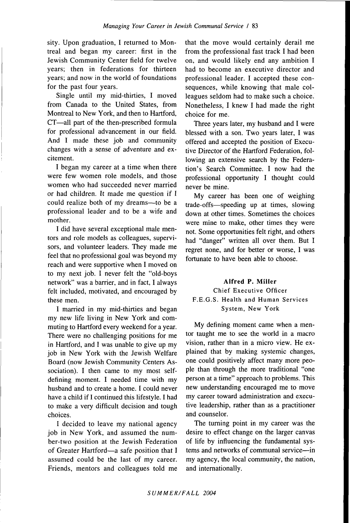sity. Upon graduation, I returned to Montreal and began my career: first in the Jewish Community Center field for twelve years; then in federations for thirteen years; and now in the world of foundations for the past four years.

Single until my mid-thirties, I moved from Canada to the United States, from Montreal to New York, and then to Hartford, CT—all part of the then-prescribed formula for professional advancement in our field. And I made these job and community changes with a sense of adventure and excitement.

I began my career at a time when there were few women role models, and those women who had succeeded never married or had children. It made me question if I could realize both of my dreams—to be a professional leader and to be a wife and mother.

I did have several exceptional male mentors and role models as colleagues, supervisors, and volunteer leaders. They made me feel that no professional goal was beyond my reach and were supportive when I moved on to my next job. I never felt the "old-boys network" was a barrier, and in fact, I always felt included, motivated, and encouraged by these men.

I married in my mid-thirties and began my new life living in New York and commuting to Hartford every weekend for a year. There were no challenging positions for me in Hartford, and I was unable to give up my job in New York with the Jewish Welfare Board (now Jewish Community Centers Association). I then came to my most selfdefining moment. I needed time with my husband and to create a home. I could never have a child if I continued this lifestyle. I had to make a very difficult decision and tough choices.

I decided to leave my national agency job in New York, and assumed the number-two position at the Jewish Federation of Greater Hartford—a safe position that I assumed could be the last of my career. Friends, mentors and colleagues told me that the move would certainly derail me from the professional fast track I had been on, and would likely end any ambition I had to become an executive director and professional leader, I accepted these consequences, while knowing that male colleagues seldom had to make such a choice. Nonetheless, I knew I had made the right choice for me.

Three years later, my husband and I were blessed with a son. Two years later, I was offered and accepted the position of Executive Director of the Hartford Federation, following an extensive search by the Federation's Search Committee. I now had the professional opportunity I thought could never be mine.

My career has been one of weighing trade-offs—speeding up at times, slowing down at other times. Sometimes the choices were mine to make, other times they were not. Some opportunities felt right, and others had "danger" written all over them. But I regret none, and for better or worse, I was fortunate to have been able to choose.

# Alfred P. Miller

# Chief Executive Officer F.E.G.S. Health and Human Services System, New York

My defining moment came when a mentor taught me to see the world in a macro vision, rather than in a micro view. He explained that by making systemic changes, one could positively affect many more people than through the more traditional "one person at a time" approach to problems. This new understanding encouraged me to move my career toward administration and executive leadership, rather than as a practitioner and counselor.

The turning point in my career was the desire to effect change on the larger canvas of life by influencing the fundamental systems and networks of communal service—in my agency, the local community, the nation, and internationally.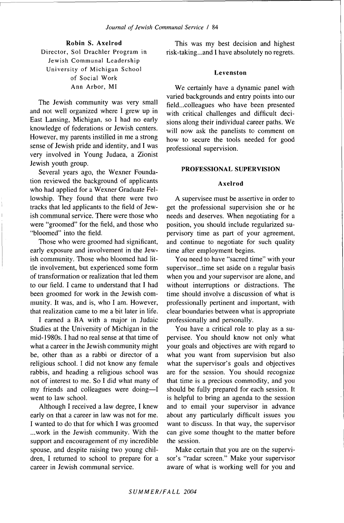**Robin S. Axelrod** Director, Sol Drachler Program in Jewish Communal Leadership University of Michigan School of Social Work Ann Arbor, MI

The Jewish community was very small and not well organized where I grew up in East Lansing, Michigan, so I had no early knowledge of federations or Jewish centers. However, my parents instilled in me a strong sense of Jewish pride and identity, and I was very involved in Young Judaea, a Zionist Jewish youth group.

Several years ago, the Wexner Foundation reviewed the background of applicants who had applied for a Wexner Graduate Fellowship. They found that there were two tracks that led applicants to the field of Jewish communal service. There were those who were "groomed" for the field, and those who "bloomed" into the field.

Those who were groomed had significant, early exposure and involvement in the Jewish community. Those who bloomed had little involvement, but experienced some form of transformation or realization that led them to our field. I came to understand that I had been groomed for work in the Jewish community. It was, and is, who I am. However, that realization came to me a bit later in life.

I earned a BA with a major in Judaic Studies at the University of Michigan in the mid-1980s. I had no real sense at that time of what a career in the Jewish community might be, other than as a rabbi or director of a religious school. I did not know any female rabbis, and heading a religious school was not of interest to me. So I did what many of my friends and colleagues were doing—I went to law school.

Although I received a law degree, I knew early on that a career in law was not for me. I wanted to do that for which I was groomed ...work in the Jewish community. With the support and encouragement of my incredible spouse, and despite raising two young children, I returned to school to prepare for a career in Jewish communal service.

This was my best decision and highest risk-taking...and I have absolutely no regrets.

## Levenston

We certainly have a dynamic panel with varied backgrounds and entry points into our field...colleagues who have been presented with critical challenges and difficult decisions along their individual career paths. We will now ask the panelists to comment on how to secure the tools needed for good professional supervision.

# PROFESSIONAL SUPERVISION

# Axelrod

A supervisee must be assertive in order to get the professional supervision she or he needs and deserves. When negotiating for a position, you should include regularized supervisory time as part of your agreement, and continue to negotiate for such quality time after employment begins.

You need to have "sacred time" with your supervisor...time set aside on a regular basis when you and your supervisor are alone, and without interruptions or distractions. The time should involve a discussion of what is professionally pertinent and important, with clear boundaries between what is appropriate professionally and personally.

You have a critical role to play as a supervisee. You should know not only what your goals and objectives are with regard to what you want from supervision but also what the supervisor's goals and objectives are for the session. You should recognize that time is a precious commodity, and you should be fully prepared for each session. It is helpful to bring an agenda to the session and to email your supervisor in advance about any particularly difficult issues you want to discuss. In that way, the supervisor can give some thought to the matter before the session.

Make certain that you are on the supervisor's "radar screen." Make your supervisor aware of what is working well for you and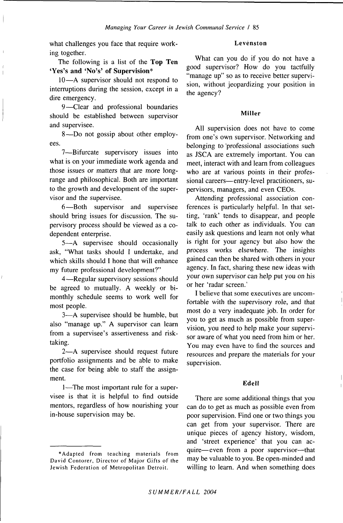what challenges you face that require working together.

The following is a list of the **Top Ten 'Yes's and 'No's' of Supervision\***

10—A supervisor should not respond to interruptions during the session, except in a dire emergency.

9—Clear and professional boundaries should be established between supervisor and supervisee.

8—Do not gossip about other employees.

7—Bifurcate supervisory issues into what is on your immediate work agenda and those issues or matters that are more longrange and philosophical. Both are important to the growth and development of the supervisor and the supervisee,

6—Both supervisor and supervisee should bring issues for discussion. The supervisory process should be viewed as a codependent enterprise.

5—A supervisee should occasionally ask, "What tasks should I undertake, and which skills should I hone that will enhance my future professional development?"

4—Regular supervisory sessions should be agreed to mutually. A weekly or bimonthly schedule seems to work well for most people.

3—A supervisee should be humble, but also "manage up." A supervisor can learn from a supervisee's assertiveness and risktaking.

2—A supervisee should request future portfolio assignments and be able to make the case for being able to staff the assignment.

1—The most important rule for a supervisee is that it is helpful to find outside mentors, regardless of how nourishing your in-house supervision may be.

## **Levenston**

What can you do if you do not have a good supervisor? How do you tactfully "manage up" so as to receive better supervision, without jeopardizing your position in the agency?

#### **Miller**

All supervision does not have to come from one's own supervisor. Networking and belonging to 'professional associations such as JSCA are extremely important. You can meet, interact with and learn from colleagues who are at various points in their professional careers—entry-level practitioners, supervisors, managers, and even CEOs.

Attending professional association conferences is particularly helpful. In that setting, 'rank' tends to disappear, and people talk to each other as individuals. You can easily ask questions and learn not only what is right for your agency but also how the process works elsewhere. The insights gained can then be shared with others in your agency. In fact, sharing these new ideas with your own supervisor can help put you on his or her 'radar screen.'

I believe that some executives are uncomfortable with the supervisory role, and that most do a very inadequate job. In order for you to get as much as possible from supervision, you need to help make your supervisor aware of what you need from him or her. You may even have to find the sources and resources and prepare the materials for your supervision.

#### **Edell**

There are some additional things that you can do to get as much as possible even from poor supervision. Find one or two things you can get from your supervisor. There are unique pieces of agency history, wisdom, and 'street experience' that you can acquire—even from a poor supervisor—that may be valuable to you. Be open-minded and willing to learn. And when something does

<sup>\*</sup>Adapted from teaching materials from David Contorer, Director of Major Gifts of the Jewish Federation of Metropolitan Detroit.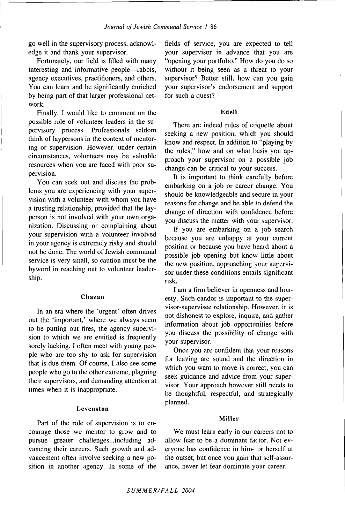go well in the supervisory process, acknowledge it and thank your supervisor.

Fortunately, our field is filled with many interesting and informative people—rabbis, agency executives, practitioners, and others. You can learn and be significantly enriched by being part of that larger professional network.

Finally, I would like to comment on the possible role of volunteer leaders in the supervisory process. Professionals seldom think of laypersons in the context of mentoring or supervision. However, under certain circumstances, volunteers may be valuable resources when you are faced with poor supervision.

You can seek out and discuss the problems you are experiencing with your supervision with a volunteer with whom you have a trusting relationship, provided that the layperson is not involved with your own organization. Discussing or complaining about your supervision with a volunteer involved in your agency is extremely risky and should not be done. The world of Jewish communal service is very small, so caution must be the byword in reaching out to volunteer leadership.

## **Chazan**

In an era where the 'urgent' often drives out the 'important,' where we always seem to be putting out fires, the agency supervision to which we are entitled is frequently sorely lacking. I often meet with young people who are too shy to ask for supervision that is due them. Of course, I also see some people who go to the other extreme, plaguing their supervisors, and demanding attention at times when it is inappropriate.

# Levenston

Part of the role of supervision is to encourage those we mentor to grow and to pursue greater challenges...including advancing their careers. Such growth and advancement often involve seeking a new position in another agency. In some of the

fields of service, you are expected to tell your supervisor in advance that you are "opening your portfolio." How do you do so without it being seen as a threat to your supervisor? Better still, how can you gain your supervisor's endorsement and support for such a quest?

#### **Edell**

There are indeed rules of etiquette about seeking a new position, which you should know and respect. In addition to "playing by the rules," how and on what basis you approach your supervisor on a possible job change can be critical to your success.

It is important to think carefully before embarking on a job or career change. You should be knowledgeable and secure in your reasons for change and be able to defend the change of direction with confidence before you discuss the matter with your supervisor.

If you are embarking on a job search because you are unhappy at your current position or because you have heard about a possible job opening but know little about the new position, approaching your supervisor under these conditions entails significant risk.

I am a firm believer in openness and honesty. Such candor is important to the supervisor-supervisee relationship. However, it is not dishonest to explore, inquire, and gather information about job opportunities before you discuss the possibility of change with your supervisor.

Once you are confident that your reasons for leaving are sound and the direction in which you want to move is correct, you can seek guidance and advice from your supervisor. Your approach however still needs to be thoughtful, respectful, and strategically planned.

## **Miller**

We must learn early in our careers not to allow fear to be a dominant factor. Not everyone has confidence in him- or herself at the outset, but once you gain that self-assurance, never let fear dominate your career.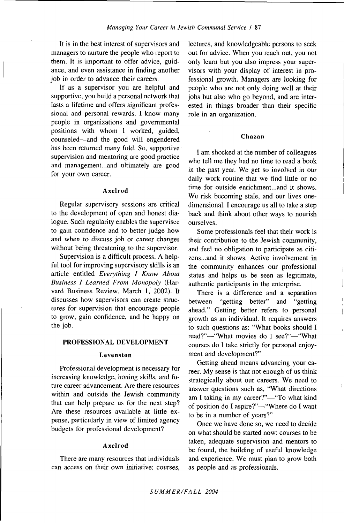It is in the best interest of supervisors and managers to nurture the people who report to them. It is important to offer advice, guidance, and even assistance in finding another job in order to advance their careers.

If as a supervisor you are helpful and supportive, you build a personal network that lasts a lifetime and offers significant professional and personal rewards. I know many people in organizations and governmental positions with whom I worked, guided, counseled—and the good will engendered has been returned many fold. So, supportive supervision and mentoring are good practice and management...and ultimately are good for your own career.

#### **Axelrod**

Regular supervisory sessions are critical to the development of open and honest dialogue. Such regularity enables the supervisee to gain confidence and to better judge how and when to discuss job or career changes without being threatening to the supervisor.

Supervision is a difficult process. A helpful tool for improving supervisory skills is an article entitled *Everything I Know About Business I Learned From Monopoly* (Harvard Business Review, March 1, 2002). It discusses how supervisors can create structures for supervision that encourage people to grow, gain confidence, and be happy on the job.

#### **PROFESSIONAL DEVELOPMENT**

#### **Levenston**

Professional development is necessary for increasing knowledge, honing skills, and future career advancement. Are there resources within and outside the Jewish community that can help prepare us for the next step? Are these resources available at little expense, particularly in view of limited agency budgets for professional development?

#### **Axelrod**

There are many resources that individuals can access on their own initiative: courses.

lectures, and knowledgeable persons to seek out for advice. When you reach out, you not only learn but you also impress your supervisors with your display of interest in professional growth. Managers are looking for people who are not only doing well at their jobs but also who go beyond, and are interested in things broader than their specific role in an organization.

# **Chazan**

I am shocked at the number of colleagues who tell me they had no time to read a book in the past year. We get so involved in our daily work routine that we find little or no time for outside enrichment...and it shows. We risk becoming stale, and our lives onedimensional. I encourage us all to take a step back and think about other ways to nourish ourselves.

Some professionals feel that their work is their contribution to the Jewish community, and feel no obligation to participate as citizens...and it shows. Active involvement in the community enhances our professional status and helps us be seen as legitimate, authentic participants in the enterprise.

There is a difference and a separation between "getting better" and "getting ahead." Getting better refers to personal growth as an individual. It requires answers to such questions as: "What books should I read?"---"What movies do I see?"--"What courses do I take strictly for personal enjoyment and development?"

Getting ahead means advancing your career. My sense is that not enough of us think strategically about our careers. We need to answer questions such as, "What directions am I taking in my career?"—"To what kind of position do I aspire?"—"Where do I want to be in a number of years?"

Once we have done so, we need to decide on what should be started now: courses to be taken, adequate supervision and mentors to be found, the building of useful knowledge and experience. We must plan to grow both as people and as professionals.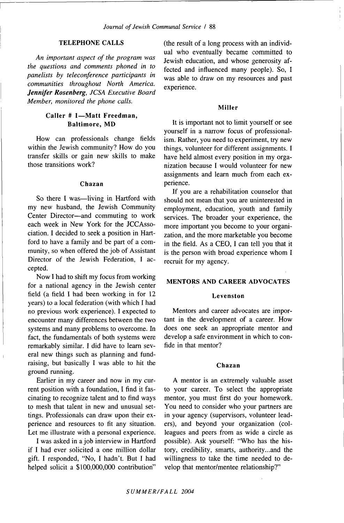# **TELEPHONE CALLS**

*An important aspect of the program was the questions and comments phoned in to panelists by teleconference participants in communities throughout North America. Jennifer Rosenberg, JCSA Executive Board Member, monitored the phone calls.*

# **Caller # 1—Matt Freedman, Baltimore, MD**

How can professionals change fields within the Jewish community? How do you transfer skills or gain new skills to make those transitions work?

# **Chazan**

So there I was—living in Hartford with my new husband, the Jewish Community Center Director—and commuting to work each week in New York for the JCCAssociation. I decided to seek a position in Hartford to have a family and be part of a community, so when offered the job of Assistant Director of the Jewish Federation, I accepted.

Now I had to shift my focus from working for a national agency in the Jewish center field (a field I had been working in for 12 years) to a local federation (with which I had no previous work experience). I expected to encounter many differences between the two systems and many problems to overcome. In fact, the fundamentals of both systems were remarkably similar. I did have to learn several new things such as planning and fundraising, but basically I was able to hit the ground running.

Earlier in my career and now in my current position with a foundation, I find it fascinating to recognize talent and to find ways to mesh that talent in new and unusual settings. Professionals can draw upon their experience and resources to fit any situation. Let me illustrate with a personal experience.

I was asked in a job interview in Hartford if I had ever solicited a one million dollar gift. I responded, "No, I hadn't. But I had helped solicit a \$100,000,000 contribution"

(the result of a long process with an individual who eventually became committed to Jewish education, and whose generosity affected and influenced many people). So, I was able to draw on my resources and past experience.

# **Miller**

It is important not to limit yourself or see yourself in a narrow focus of professionalism. Rather, you need to experiment, try new things, volunteer for different assignments. I have held almost every position in my organization because I would volunteer for new assignments and learn much from each experience.

If you are a rehabilitation counselor that should not mean that you are uninterested in employment, education, youth and family services. The broader your experience, the more important you become to your organization, and the more marketable you become in the field. As a CEO, I can tell you that it is the person with broad experience whom I recruit for my agency.

# **MENTORS AND CAREER ADVOCATES**

#### **Levenston**

Mentors and career advocates are important in the development of a career. How does one seek an appropriate mentor and develop a safe environment in which to confide in that mentor?

#### **Chazan**

A mentor is an extremely valuable asset to your career. To select the appropriate mentor, you must first do your homework. You need to consider who your partners are in your agency (supervisors, volunteer leaders), and beyond your organization (colleagues and peers from as wide a circle as possible). Ask yourself: "Who has the history, credibility, smarts, authority...and the willingness to take the time needed to develop that mentor/mentee relationship?"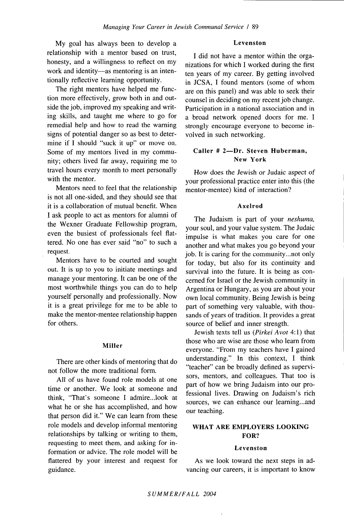My goal has always been to develop a relationship with a mentor based on trust, honesty, and a willingness to reflect on my work and identity—as mentoring is an intentionally reflective learning opportunity.

The right mentors have helped me function more effectively, grow both in and outside the job, improved my speaking and writing skills, and taught me where to go for remedial help and how to read the warning signs of potential danger so as best to determine if I should "suck it up" or move on. Some of my mentors lived in my community; others lived far away, requiring me to travel hours every month to meet personally with the mentor.

Mentors need to feel that the relationship is not all one-sided, and they should see that it is a collaboration of mutual benefit. When I ask people to act as mentors for alumni of the Wexner Graduate Fellowship program, even the busiest of professionals feel flattered. No one has ever said "no" to such a request.

Mentors have to be courted and sought out. It is up to you to initiate meetings and manage your mentoring. It can be one of the most worthwhile things you can do to help yourself personally and professionally. Now it is a great privilege for me to be able to make the mentor-mentee relationship happen for others.

#### Miller

There are other kinds of mentoring that do not follow the more traditional form.

All of us have found role models at one time or another. We look at someone and think, "That's someone I admire...look at what he or she has accomplished, and how that person did it." We can learn from these role models and develop informal mentoring relationships by talking or writing to them, requesting to meet them, and asking for information or advice. The role model will be flattered by your interest and request for guidance.

# Levenston

I did not have a mentor within the organizations for which I worked during the first ten years of my career. By getting involved in JCSA, I found mentors (some of whom are on this panel) and was able to seek their counsel in deciding on my recent job change. Participation in a national association and in a broad network opened doors for me. I strongly encourage everyone to become involved in such networking.

# Caller # 2—Dr. Steven Huberman, New York

How does the Jewish or Judaic aspect of your professional practice enter into this (the mentor-mentee) kind of interaction?

#### Axelrod

The Judaism is part of your *neshuma,* your soul, and your value system. The Judaic impulse is what makes you care for one another and what makes you go beyond your job. It is caring for the community...not only for today, but also for its continuity and survival into the future. It is being as concerned for Israel or the Jewish community in Argentina or Hungary, as you are about your own local community. Being Jewish is being part of something very valuable, with thousands of years of tradition. It provides a great source of belief and inner strength.

Jewish texts tell us *{Pirkei Avot* 4:1) that those who are wise are those who learn from everyone. "From my teachers have I gained understanding." In this context, I think "teacher" can be broadly defined as supervisors, mentors, and colleagues. That too is part of how we bring Judaism into our professional lives. Drawing on Judaism's rich sources, we can enhance our learning...and our teaching.

# WHAT ARE EMPLOYERS LOOKING FOR?

#### Levenston

As we look toward the next steps in advancing our careers, it is important to know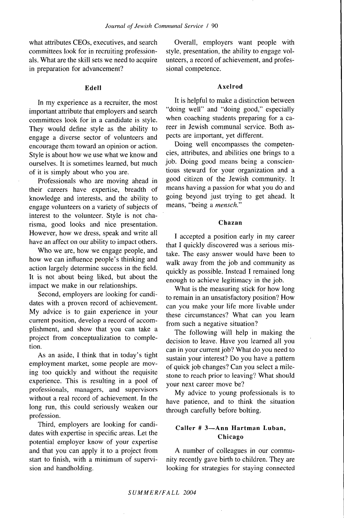what attributes CEOs, executives, and search committees look for in recruiting professionals. What are the skill sets we need to acquire in preparation for advancement?

# **Edell**

In my experience as a recruiter, the most important attribute that employers and search committees look for in a candidate is style. They would define style as the ability to engage a diverse sector of volunteers and encourage them toward an opinion or action. Style is about how we use what we know and ourselves. It is sometimes learned, but much of it is simply about who you are.

Professionals who are moving ahead in their careers have expertise, breadth of knowledge and interests, and the ability to engage volunteers on a variety of subjects of interest to the volunteer. Style is not charisma, good looks and nice presentation. However, how we dress, speak and write all have an affect on our ability to impact others.

Who we are, how we engage people, and how we can influence people's thinking and action largely determine success in the field. It is not about being liked, but about the impact we make in our relationships.

Second, employers are looking for candidates with a proven record of achievement. My advice is to gain experience in your current position, develop a record of accomplishment, and show that you can take a project from conceptualization to completion.

As an aside, I think that in today's tight employment market, some people are moving too quickly and without the requisite experience. This is resulting in a pool of professionals, managers, and supervisors without a real record of achievement. In the long run, this could seriously weaken our profession.

Third, employers are looking for candidates with expertise in specific areas. Let the potential employer know of your expertise and that you can apply it to a project from start to finish, with a minimum of supervision and handholding.

Overall, employers want people with style, presentation, the ability to engage volunteers, a record of achievement, and professional competence.

# **Axelrod**

It is helpful to make a distinction between "doing well" and "doing good," especially when coaching students preparing for a career in Jewish communal service. Both aspects are important, yet different.

Doing well encompasses the competencies, attributes, and abilities one brings to a job. Doing good means being a conscientious steward for your organization and a good citizen of the Jewish community. It means having a passion for what you do and going beyond just trying to get ahead. It means, "being a *mensch."*

## **Chazan**

I accepted a position early in my career that I quickly discovered was a serious mistake. The easy answer would have been to walk away from the job and community as quickly as possible. Instead I remained long enough to achieve legitimacy in the job.

What is the measuring stick for how long to remain in an unsatisfactory position? How can you make your life more livable under these circumstances? What can you learn from such a negative situation?

The following will help in making the decision to leave. Have you learned all you can in your current job? What do you need to sustain your interest? Do you have a pattern of quick job changes? Can you select a milestone to reach prior to leaving? What should your next career move be?

My advice to young professionals is to have patience, and to think the situation through carefully before bolting.

# **Caller # 3—Ann Hartman Luban, Chicago**

A number of colleagues in our community recently gave birth to children. They are looking for strategies for staying connected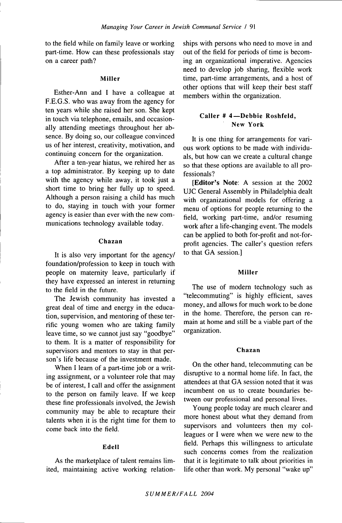to the field while on family leave or working part-time. How can these professionals stay on a career path?

# **Miller**

Esther-Ann and I have a colleague at F.E.G.S. who was away from the agency for ten years while she raised her son. She kept in touch via telephone, emails, and occasionally attending meetings throughout her absence. By doing so, our colleague convinced us of her interest, creativity, motivation, and continuing concern for the organization.

After a ten-year hiatus, we rehired her as a top administrator. By keeping up to date with the agency while away, it took just a short time to bring her fully up to speed. Although a person raising a child has much to do, staying in touch with your former agency is easier than ever with the new communications technology available today.

## **Chazan**

It is also very important for the agency/ foundation/profession to keep in touch with people on maternity leave, particularly if they have expressed an interest in returning to the field in the future.

The Jewish community has invested a great deal of time and energy in the education, supervision, and mentoring of these terrific young women who are taking family leave time, so we cannot just say "goodbye" to them. It is a matter of responsibility for supervisors and mentors to stay in that person's life because of the investment made.

When I learn of a part-time job or a writing assignment, or a volunteer role that may be of interest, I call and offer the assignment to the person on family leave. If we keep these fine professionals involved, the Jewish community may be able to recapture their talents when it is the right time for them to come back into the field.

# **Edell**

As the marketplace of talent remains limited, maintaining active working relationships with persons who need to move in and out of the field for periods of time is becoming an organizational imperative. Agencies need to develop job sharing, flexible work time, part-time arrangements, and a host of other options that will keep their best staff members within the organization.

# **Caller # 4—Debbie Roshfeld, New York**

**It** is one thing for arrangements for various work options to be made with individuals, but how can we create a cultural change so that these options are available to all professionals?

**[Editor's Note:** A session at the 2002 UJC General Assembly in Philadelphia dealt with organizational models for offering a menu of options for people returning to the field, working part-time, and/or resuming work after a life-changing event. The models can be applied to both for-profit and not-forprofit agencies. The caller's question refers to that GA session.]

#### **Miller**

The use of modem technology such as "telecommuting" is highly efficient, saves money, and allows for much work to be done in the home. Therefore, the person can remain at home and still be a viable part of the organization.

# Chazan

On the other hand, telecommuting can be disruptive to a normal home life. In fact, the attendees at that GA session noted that it was incumbent on us to create boundaries between our professional and personal lives.

Young people today are much clearer and more honest about what they demand from supervisors and volunteers then my colleagues or I were when we were new to the field. Perhaps this willingness to articulate such concerns comes from the realization that it is legitimate to talk about priorities in life other than work. My personal "wake up"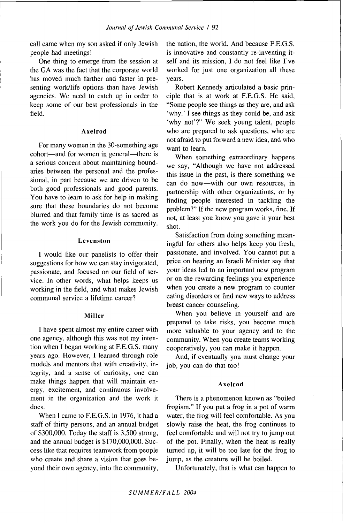call came when my son asked if only Jewish people had meetings!

One thing to emerge from the session at the GA was the fact that the corporate world has moved much farther and faster in presenting work/life options than have Jewish agencies. We need to catch up in order to keep some of our best professionals in the field.

# Axelrod

For many women in the 30-something age cohort—and for women in general—there is a serious concern about maintaining boundaries between the personal and the professional, in part because we are driven to be both good professionals and good parents. You have to learn to ask for help in making sure that these boundaries do not become blurred and that family time is as sacred as the work you do for the Jewish community.

#### Levenston

I would like our panelists to offer their suggestions for how we can stay invigorated, passionate, and focused on our field of service. In other words, what helps keeps us working in the field, and what makes Jewish communal service a lifetime career?

## Miller

I have spent almost my entire career with one agency, although this was not my intention when I began working at F.E.G.S. many years ago. However, I learned through role models and mentors that with creativity, integrity, and a sense of curiosity, one can make things happen that will maintain energy, excitement, and continuous involvement in the organization and the work it does.

When I came to F.E.G.S. in 1976, it had a staff of thirty persons, and an annual budget of \$300,000. Today the staff is 3,500 strong, and the annual budget is \$170,000,000. Success like that requires teamwork from people who create and share a vision that goes beyond their own agency, into the community. the nation, the world. And because F.E.G.S. is innovative and constantly re-inventing itself and its mission, I do not feel like I've worked for just one organization all these years.

Robert Kennedy articulated a basic principle that is at work at F.E.G.S. He said, "Some people see things as they are, and ask 'why.' I see things as they could be, and ask 'why not'?" We seek young talent, people who are prepared to ask questions, who are not afraid to put forward a new idea, and who want to learn.

When something extraordinary happens we say, "Although we have not addressed this issue in the past, is there something we can do now—with our own resources, in partnership with other organizations, or by finding people interested in tackling the problem?" If the new program works, fine. If not, at least you know you gave it your best shot.

Satisfaction from doing something meaningful for others also helps keep you fresh, passionate, and involved. You cannot put a price on hearing an Israeli Minister say that your ideas led to an important new program or on the rewarding feelings you experience when you create a new program to counter eating disorders or find new ways to address breast cancer counseling.

When you believe in yourself and are prepared to take risks, you become much more valuable to your agency and to the community. When you create teams working cooperatively, you can make it happen.

And, if eventually you must change your job, you can do that too!

#### Axelrod

There is a phenomenon known as "boiled frogism." If you put a frog in a pot of warm water, the frog will feel comfortable. As you slowly raise the heat, the frog continues to feel comfortable and will not try to jump out of the pot. Finally, when the heat is really turned up, it will be too late for the frog to jump, as the creature will be boiled.

Unfortunately, that is what can happen to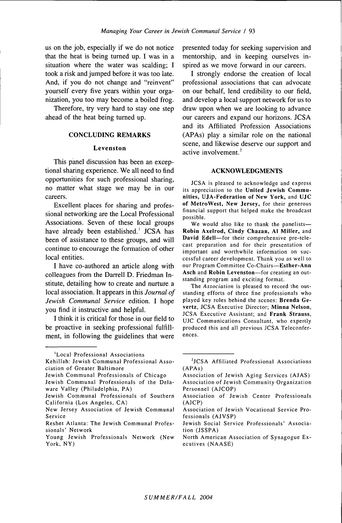us on the job, especially if we do not notice that the heat is being turned up. I was in a situation where the water was scalding; I took a risk and jumped before it was too late. And, if you do not change and "reinvent" yourself every five years within your organization, you too may become a boiled frog.

Therefore, try very hard to stay one step ahead of the heat being turned up.

### **CONCLUDING REMARKS**

#### **Levenston**

This panel discussion has been an exceptional sharing experience. We all need to find opportunities for such professional sharing, no matter what stage we may be in our careers.

Excellent places for sharing and professional networking are the Local Professional Associations. Seven of these local groups have already been established.' JCSA has been of assistance to these groups, and will continue to encourage the formation of other local entities.

I have co-authored an article along with colleagues from the Darrell D. Friedman Institute, detailing how to create and nurture a local association. It appears in this *Journal of Jewish Communal Service* edition. I hope you find it instructive and helpful.

I think it is critical for those in our field to be proactive in seeking professional fulfillment, in following the guidelines that were presented today for seeking supervision and mentorship, and in keeping ourselves inspired as we move forward in our careers.

I strongly endorse the creation of local professional associations that can advocate on our behalf, lend credibility to our field, and develop a local support network for us to draw upon when we are looking to advance our careers and expand our horizons. JCSA and its Affiliated Profession Associations (APAs) play a similar role on the national scene, and likewise deserve our support and active involvement. $2$ 

#### ACKNOWLEDGMENTS

JCSA is pleased to acknowledge and express its appreciation to the **United Jewish Communities, UJA-Federation of New York,** and **UJC of MetroWest, New Jersey,** for their generous financial support that helped make the broadcast possible.

We would also like to thank the panelists— **Robin Axeirod, Cindy Chazan, Ai Miiler,** and **David Edeli**—for their comprehensive pre-telecast preparation and for their presentation of important and worthwhile information on successful career development. Thank you as well to our Program Committee Co-Chairs-Esther-Ann **Asch** and **Robin Levenston**—for creating an outstanding program and exciting format.

The *Association* is pleased to record the outstanding efforts of three fine professionals who played key roles behind the scenes: **Brenda Gevertz,** JCSA Executive Director; **Minna Neison,** JCSA Executive Assistant; and **Frank Strauss,** UJC Communications Consultant, who expertly produced this and all previous JCSA Teleconferences.

<sup>&#</sup>x27;Local Professional Associations Kehillah: Jewish Communal Professional Association of Greater Baltimore

Jewish Communal Professionals of Chicago Jewish Communal Professionals of the Delaware Valley (Philadelphia, PA)

Jewish Communal Professionals of Southern California (Los Angeles, CA)

New Jersey Association of Jewish Communal Service

Reshet Atlanta: The Jewish Communal Professionals' Network

Young Jewish Professionals Network (New York, NY)

<sup>&</sup>lt;sup>2</sup>JCSA Affiliated Professional Associations (APAs)

Association of Jewish Aging Services (AJAS) Association of Jewish Community Organization Personnel (AJCOP)

Association of Jewish Center Professionals (AJCP)

Association of Jewish Vocational Service Professionals (AJVSP)

Jewish Social Service Professionals' Association (JSSPA)

North American Association of Synagogue Executives (NAASE)